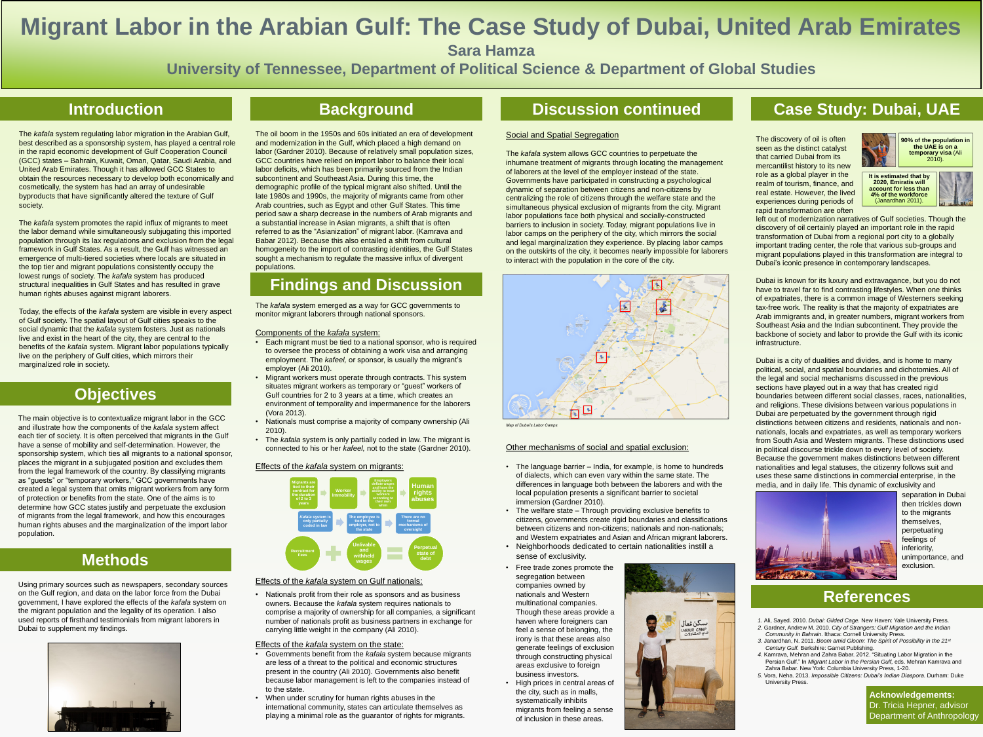The *kafala s*ystem allows GCC countries to perpetuate the inhumane treatment of migrants through locating the management of laborers at the level of the employer instead of the state. Governments have participated in constructing a psychological dynamic of separation between citizens and non-citizens by centralizing the role of citizens through the welfare state and the simultaneous physical exclusion of migrants from the city. Migrant labor populations face both physical and socially-constructed barriers to inclusion in society. Today, migrant populations live in labor camps on the periphery of the city, which mirrors the social and legal marginalization they experience. By placing labor camps on the outskirts of the city, it becomes nearly impossible for laborers to interact with the population in the core of the city.

### Other mechanisms of social and spatial exclusion:

• The language barrier – India, for example, is home to hundreds of dialects, which can even vary within the same state. The differences in language both between the laborers and with the local population presents a significant barrier to societal immersion (Gardner 2010).

• The welfare state – Through providing exclusive benefits to citizens, governments create rigid boundaries and classifications between citizens and non-citizens; nationals and non-nationals; and Western expatriates and Asian and African migrant laborers. • Neighborhoods dedicated to certain nationalities instill a sense of exclusivity.

# **Migrant Labor in the Arabian Gulf: The Case Study of Dubai, United Arab Emirates Sara Hamza University of Tennessee, Department of Political Science & Department of Global Studies**

## **Introduction**

## **Objectives**

### **References**

**Acknowledgements:** Dr. Tricia Hepner, advisor Department of Anthropology

## **Findings and Discussion**

The *kafala* system regulating labor migration in the Arabian Gulf, best described as a sponsorship system, has played a central role in the rapid economic development of Gulf Cooperation Council (GCC) states – Bahrain, Kuwait, Oman, Qatar, Saudi Arabia, and United Arab Emirates. Though it has allowed GCC States to obtain the resources necessary to develop both economically and cosmetically, the system has had an array of undesirable byproducts that have significantly altered the texture of Gulf society.

The *kafala* system promotes the rapid influx of migrants to meet the labor demand while simultaneously subjugating this imported population through its lax regulations and exclusion from the legal framework in Gulf States. As a result, the Gulf has witnessed an emergence of multi-tiered societies where locals are situated in the top tier and migrant populations consistently occupy the lowest rungs of society. The *kafala* system has produced structural inequalities in Gulf States and has resulted in grave human rights abuses against migrant laborers.

Today, the effects of the *kafala* system are visible in every aspect of Gulf society. The spatial layout of Gulf cities speaks to the social dynamic that the *kafala* system fosters. Just as nationals live and exist in the heart of the city, they are central to the benefits of the *kafala* system. Migrant labor populations typically live on the periphery of Gulf cities, which mirrors their marginalized role in society.

> *1.* Ali, Sayed. 2010. *Dubai: Gilded Cage.* New Haven: Yale University Press. *2.* Gardner, Andrew M. 2010. *City of Strangers: Gulf Migration and the Indian*  **Community in Bahrain. Ithaca: Cornell University Press.**

The oil boom in the 1950s and 60s initiated an era of development and modernization in the Gulf, which placed a high demand on labor (Gardner 2010). Because of relatively small population sizes, GCC countries have relied on import labor to balance their local labor deficits, which has been primarily sourced from the Indian subcontinent and Southeast Asia. During this time, the demographic profile of the typical migrant also shifted. Until the late 1980s and 1990s, the majority of migrants came from other Arab countries, such as Egypt and other Gulf States. This time period saw a sharp decrease in the numbers of Arab migrants and a substantial increase in Asian migrants, a shift that is often referred to as the "Asianization" of migrant labor. (Kamrava and Babar 2012). Because this also entailed a shift from cultural homogeneity to the import of contrasting identities, the Gulf States sought a mechanism to regulate the massive influx of divergent populations.

The main objective is to contextualize migrant labor in the GCC and illustrate how the components of the *kafala* system affect each tier of society. It is often perceived that migrants in the Gulf have a sense of mobility and self-determination. However, the sponsorship system, which ties all migrants to a national sponsor, places the migrant in a subjugated position and excludes them from the legal framework of the country. By classifying migrants as "guests" or "temporary workers," GCC governments have created a legal system that omits migrant workers from any form of protection or benefits from the state. One of the aims is to determine how GCC states justify and perpetuate the exclusion of migrants from the legal framework, and how this encourages human rights abuses and the marginalization of the import labor population.

left out of modernization narratives of Gulf societies. Though the discovery of oil certainly played an important role in the rapid transformation of Dubai from a regional port city to a globally important trading center, the role that various sub-groups and migrant populations played in this transformation are integral to Dubai's iconic presence in contemporary landscapes.

The discovery of oil is often seen as the distinct catalyst that carried Dubai from its mercantilist history to its new role as a global player in the realm of tourism, finance, and real estate. However, the lived experiences during periods of rapid transformation are often



Dubai is known for its luxury and extravagance, but you do not have to travel far to find contrasting lifestyles. When one thinks of expatriates, there is a common image of Westerners seeking tax-free work. The reality is that the majority of expatriates are Arab immigrants and, in greater numbers, migrant workers from Southeast Asia and the Indian subcontinent. They provide the backbone of society and labor to provide the Gulf with its iconic infrastructure.

Dubai is a city of dualities and divides, and is home to many political, social, and spatial boundaries and dichotomies. All of the legal and social mechanisms discussed in the previous sections have played out in a way that has created rigid boundaries between different social classes, races, nationalities, and religions. These divisions between various populations in Dubai are perpetuated by the government through rigid distinctions between citizens and residents, nationals and nonnationals, locals and expatriates, as well as temporary workers from South Asia and Western migrants. These distinctions used in political discourse trickle down to every level of society. Because the government makes distinctions between different nationalities and legal statuses, the citizenry follows suit and uses these same distinctions in commercial enterprise, in the media, and in daily life. This dynamic of exclusivity and



## **Background Discussion continued Case Study: Dubai, UAE**

*Map of Dubai's Labor Camps*

*3.* Janardhan, N. 2011. *Boom amid Gloom: The Spirit of Possibility in the 21 st Century Gulf.* Berkshire: Garnet Publishing.

*4.* Kamrava, Mehran and Zahra Babar. 2012. "Situating Labor Migration in the Persian Gulf." In *Migrant Labor in the Persian Gulf,* eds. Mehran Kamrava and Zahra Babar. New York: Columbia University Press, 1-20. *5.* Vora, Neha. 2013. *Impossible Citizens: Dubai's Indian Diaspora.* Durham: Duke University Press.

## **Methods**

Using primary sources such as newspapers, secondary sources on the Gulf region, and data on the labor force from the Dubai government, I have explored the effects of the *kafala* system on the migrant population and the legality of its operation. I also used reports of firsthand testimonials from migrant laborers in Dubai to supplement my findings.



The *kafala* system emerged as a way for GCC governments to monitor migrant laborers through national sponsors.

### Components of the *kafala* system:

- Each migrant must be tied to a national sponsor, who is required to oversee the process of obtaining a work visa and arranging employment. The *kafeel,* or sponsor, is usually the migrant's employer (Ali 2010).
- Migrant workers must operate through contracts. This system situates migrant workers as temporary or "guest" workers of Gulf countries for 2 to 3 years at a time, which creates an environment of temporality and impermanence for the laborers (Vora 2013).
- Nationals must comprise a majority of company ownership (Ali 2010).
- The *kafala* system is only partially coded in law. The migrant is connected to his or her *kafeel,* not to the state (Gardner 2010).

### Effects of the *kafala* system on migrants:

### Effects of the *kafala* system on Gulf nationals:

• Nationals profit from their role as sponsors and as business owners. Because the *kafala* system requires nationals to comprise a majority of ownership for all companies, a significant number of nationals profit as business partners in exchange for carrying little weight in the company (Ali 2010).

### Effects of the *kafala* system on the state:

- Governments benefit from the *kafala* system because migrants are less of a threat to the political and economic structures present in the country (Ali 2010). Governments also benefit because labor management is left to the companies instead of to the state.
- When under scrutiny for human rights abuses in the international community, states can articulate themselves as playing a minimal role as the guarantor of rights for migrants.

- 
- 







### **Social and Spatial Segregation**



• Free trade zones promote the segregation between companies owned by nationals and Western multinational companies. Though these areas provide a haven where foreigners can feel a sense of belonging, the irony is that these areas also generate feelings of exclusion through constructing physical areas exclusive to foreign business investors. • High prices in central areas of the city, such as in malls, systematically inhibits migrants from feeling a sense of inclusion in these areas.



**90% of the population in the UAE is on a temporary visa** (Ali 2010).

**It is estimated that by 2020, Emiratis will account for less than 4% of the workforce**  (Janardhan 2011).



separation in Dubai then trickles down to the migrants themselves, perpetuating feelings of inferiority, unimportance, and exclusion.